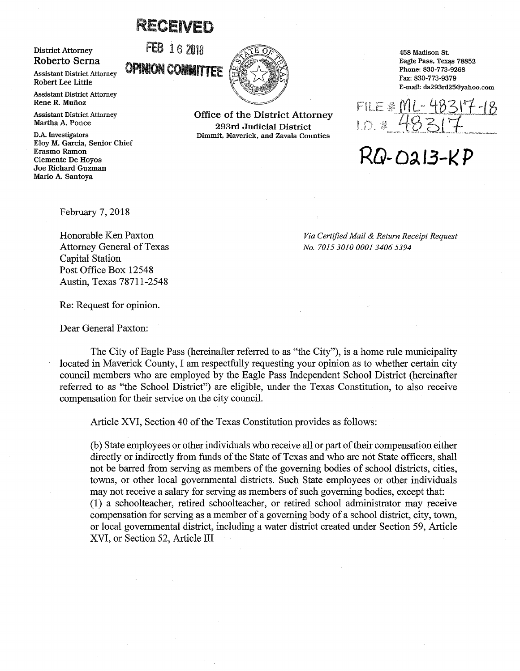## RECEIVED

## District Attorney Roberto Serna

Assistant District Attorney Robert Lee Little

Assistant District Attorney Rene R. Muñoz

Assistant District Attorney Martha A. Ponce

D.A. Investigators Eloy M. Garcia, Senior Chief Erasmo Ramon Clemente De Hoyos Joe Richard Guzman Mario A. Santoya

**FEB** 16 2018 **OPINION COMMITTEE** ~ ~



Office of the District Attorney 293rd Judicial District Dimmit, Maverick, and Zavala Counties

458 Madison St. Eagle Pass, Texas 78852 Phone: 830-773-9268 Fax: 830-773-9379 E-mail: da293rd25@yahoo.com

FILE <u># ML- 48317</u><br>LD. # 48317

RQ .. Di **13-1< P** 

February 7, 2018

Honorable Ken Paxton Attorney General of Texas Capital Station Post Office Box 12548 Austin, Texas 78711-2548

*Via Certified Mail & Return Receipt Request No. 7015 3010 000134065394* 

Re: Request for opinion.

Dear General Paxton:

The City of Eagle Pass (hereinafter referred to as "the City"), is a home rule municipality located in Maverick County, I am respectfully requesting your opinion as to whether certain city council members who are employed by the Eagle Pass Independent School District (hereinafter referred to as "the School District") are eligible, under the Texas Constitution, to also receive compensation for their service on the city council.

Article XVI, Section 40 of the Texas Constitution provides as follows:

(b) State employees or other individuals who receive all or part of their compensation either directly or indirectly from funds of the State of Texas and who are not State officers, shall not be barred from serving as members of the governing bodies of school districts, cities, towns, or other local governmental districts. Such State employees or other individuals may not receive a salary for serving as members of such governing bodies, except that: (1) a schoolteacher, retired schoolteacher, or retired school administrator may receive compensation for serving as a member of a governing body of a school district, city, town, or local governmental district, including a water district created under Section 59, Article XVI, or Section 52, Article III